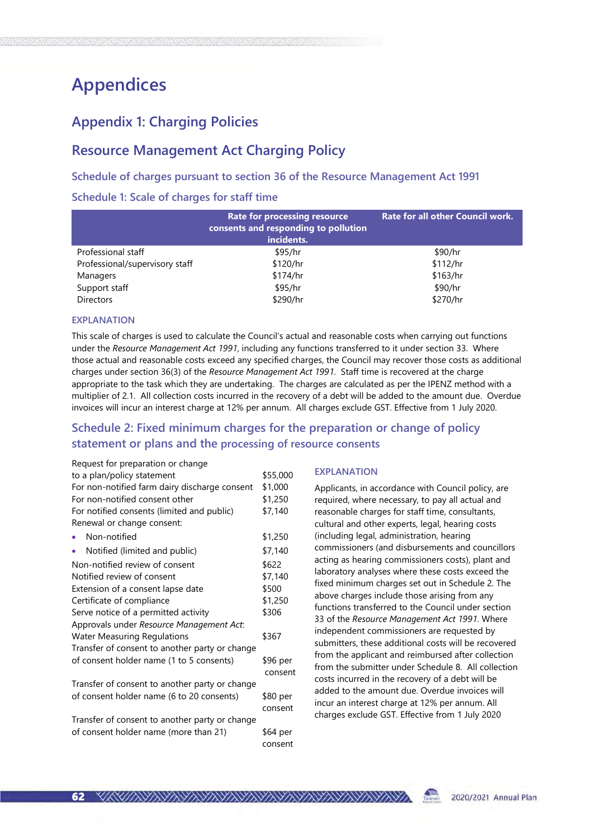# Appendices

# Appendix 1: Charging Policies

# Resource Management Act Charging Policy

### Schedule of charges pursuant to section 36 of the Resource Management Act 1991

### Schedule 1: Scale of charges for staff time

|                                | <b>Rate for processing resource</b><br>consents and responding to pollution<br>incidents. | <b>Rate for all other Council work.</b> |
|--------------------------------|-------------------------------------------------------------------------------------------|-----------------------------------------|
| Professional staff             | \$95/hr                                                                                   | \$90/hr                                 |
| Professional/supervisory staff | \$120/hr                                                                                  | \$112/hr                                |
| Managers                       | \$174/hr                                                                                  | \$163/hr                                |
| Support staff                  | \$95/hr                                                                                   | \$90/hr                                 |
| <b>Directors</b>               | \$290/hr                                                                                  | \$270/hr                                |

#### EXPLANATION

This scale of charges is used to calculate the Council's actual and reasonable costs when carrying out functions under the Resource Management Act 1991, including any functions transferred to it under section 33. Where those actual and reasonable costs exceed any specified charges, the Council may recover those costs as additional charges under section 36(3) of the Resource Management Act 1991. Staff time is recovered at the charge appropriate to the task which they are undertaking. The charges are calculated as per the IPENZ method with a multiplier of 2.1. All collection costs incurred in the recovery of a debt will be added to the amount due. Overdue invoices will incur an interest charge at 12% per annum. All charges exclude GST. Effective from 1 July 2020.

## Schedule 2: Fixed minimum charges for the preparation or change of policy statement or plans and the processing of resource consents

| Request for preparation or change              |          |
|------------------------------------------------|----------|
| to a plan/policy statement                     | \$55,000 |
| For non-notified farm dairy discharge consent  | \$1,000  |
| For non-notified consent other                 | \$1,250  |
| For notified consents (limited and public)     | \$7,140  |
| Renewal or change consent:                     |          |
| Non-notified                                   | \$1,250  |
| Notified (limited and public)                  | \$7,140  |
| Non-notified review of consent                 | \$622    |
| Notified review of consent                     | \$7,140  |
| Extension of a consent lapse date              | \$500    |
| Certificate of compliance                      | \$1,250  |
| Serve notice of a permitted activity           | \$306    |
| Approvals under Resource Management Act:       |          |
| <b>Water Measuring Regulations</b>             | \$367    |
| Transfer of consent to another party or change |          |
| of consent holder name (1 to 5 consents)       | \$96 per |
|                                                | consent  |
| Transfer of consent to another party or change |          |
| of consent holder name (6 to 20 consents)      | \$80 per |
|                                                | consent  |
| Transfer of consent to another party or change |          |
| of consent holder name (more than 21)          | \$64 per |
|                                                | consent  |

### EXPLANATION

Applicants, in accordance with Council policy, are required, where necessary, to pay all actual and reasonable charges for staff time, consultants, cultural and other experts, legal, hearing costs (including legal, administration, hearing commissioners (and disbursements and councillors acting as hearing commissioners costs), plant and laboratory analyses where these costs exceed the fixed minimum charges set out in Schedule 2. The above charges include those arising from any functions transferred to the Council under section 33 of the Resource Management Act 1991. Where independent commissioners are requested by submitters, these additional costs will be recovered from the applicant and reimbursed after collection from the submitter under Schedule 8. All collection costs incurred in the recovery of a debt will be added to the amount due. Overdue invoices will incur an interest charge at 12% per annum. All charges exclude GST. Effective from 1 July 2020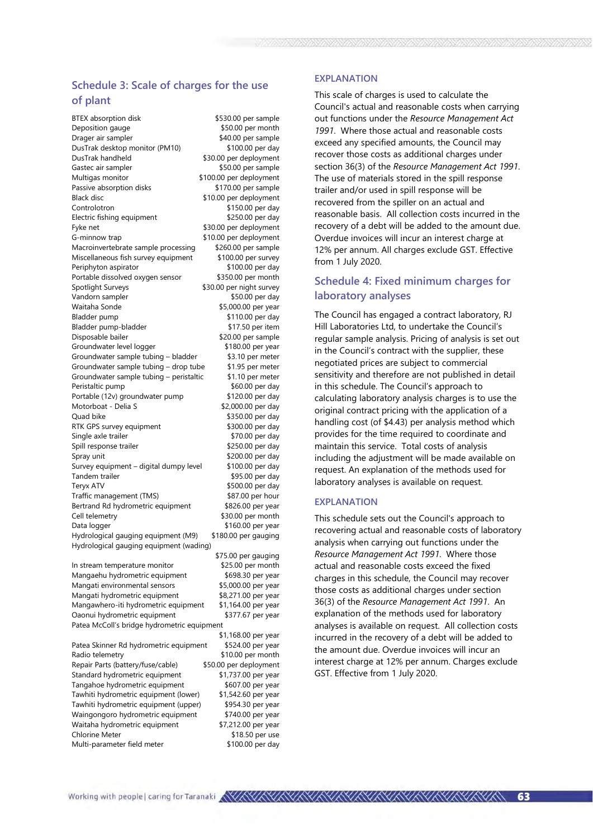### Schedule 3: Scale of charges for the use of plant

BTEX absorption disk \$530.00 per sample Deposition gauge \$50.00 per month Drager air sampler \$40.00 per sample DusTrak desktop monitor (PM10) \$100.00 per day \$30.00 per deployment Gastec air sampler \$50.00 per sample Multigas monitor  $$100.00$  per deployment Passive absorption disks \$170.00 per sample Black disc \$10.00 per deployment Controlotron \$150.00 per day Electric fishing equipment \$250.00 per day Fyke net  $\overline{\phantom{1}}$   $\overline{\phantom{1}}$   $\overline{\phantom{1}}$   $\overline{\phantom{1}}$   $\overline{\phantom{1}}$   $\overline{\phantom{1}}$   $\overline{\phantom{1}}$   $\overline{\phantom{1}}$   $\overline{\phantom{1}}$   $\overline{\phantom{1}}$   $\overline{\phantom{1}}$   $\overline{\phantom{1}}$   $\overline{\phantom{1}}$   $\overline{\phantom{1}}$   $\overline{\phantom{1}}$   $\overline{\phantom{1}}$   $\overline{\phantom{1}}$   $\overline{\phantom{1$ G-minnow trap  $$10.00$  per deployment Macroinvertebrate sample processing \$260.00 per sample<br>Miscellaneous fish survey equipment \$100.00 per survey Miscellaneous fish survey equipment Periphyton aspirator  $$100.00$  per day Portable dissolved oxygen sensor \$350.00 per month Spotlight Surveys \$30.00 per night survey Vandorn sampler  $$50.00$  per day Waitaha Sonde \$5,000.00 per year Bladder pump \$110.00 per day Bladder pump-bladder \$17.50 per item Disposable bailer <br>Groundwater level logger (180.00 per vear (180.00 per vear Groundwater level logger Groundwater sample tubing – bladder \$3.10 per meter Groundwater sample tubing – drop tube  $$1.95$  per meter Groundwater sample tubing – peristaltic  $$1.10$  per meter<br>Peristaltic pump  $$60.00$  per day Peristaltic pump Portable (12v) groundwater pump \$120.00 per day Motorboat - Delia S  $$2,000.00$  per day Quad bike \$350.00 per day RTK GPS survey equipment \$300.00 per day Single axle trailer \$70.00 per day Spill response trailer \$250.00 per day Spray unit \$200.00 per day Survey equipment – digital dumpy level \$100.00 per day Tandem trailer \$95.00 per day Teryx ATV<br>Traffic management (TMS) \$87.00 per hour Traffic management (TMS) Bertrand Rd hydrometric equipment \$826.00 per year Cell telemetry \$30.00 per month Data logger \$160.00 per year Hydrological gauging equipment (M9) \$180.00 per gauging Hydrological gauging equipment (wading) In stream temperature monitor

Mangaehu hydrometric equipment \$698.30 per year<br>Mangati environmental sensors \$5,000.00 per year Mangati environmental sensors Mangati hydrometric equipment \$8,271.00 per year Mangawhero-iti hydrometric equipment \$1,164.00 per year<br>Oaonui hydrometric equipment \$377.67 per year Oaonui hydrometric equipment Patea McColl's bridge hydrometric equipment Patea Skinner Rd hydrometric equipment \$524.00 per year Radio telemetry 610.00 per month Repair Parts (battery/fuse/cable) \$50.00 per deployment

Standard hydrometric equipment \$1,737.00 per year Tangahoe hydrometric equipment \$607.00 per year Tawhiti hydrometric equipment (lower) \$1,542.60 per year Tawhiti hydrometric equipment (upper) \$954.30 per year Waingongoro hydrometric equipment \$740.00 per year Waitaha hydrometric equipment \$7,212.00 per year Chlorine Meter \$18.50 per use Multi-parameter field meter \$100.00 per day

\$75.00 per gauging \$1,168.00 per year

#### EXPLANATION

This scale of charges is used to calculate the Council's actual and reasonable costs when carrying out functions under the Resource Management Act 1991. Where those actual and reasonable costs exceed any specified amounts, the Council may recover those costs as additional charges under section 36(3) of the Resource Management Act 1991. The use of materials stored in the spill response trailer and/or used in spill response will be recovered from the spiller on an actual and reasonable basis. All collection costs incurred in the recovery of a debt will be added to the amount due. Overdue invoices will incur an interest charge at 12% per annum. All charges exclude GST. Effective from 1 July 2020.

### Schedule 4: Fixed minimum charges for laboratory analyses

The Council has engaged a contract laboratory, RJ Hill Laboratories Ltd, to undertake the Council's regular sample analysis. Pricing of analysis is set out in the Council's contract with the supplier, these negotiated prices are subject to commercial sensitivity and therefore are not published in detail in this schedule. The Council's approach to calculating laboratory analysis charges is to use the original contract pricing with the application of a handling cost (of \$4.43) per analysis method which provides for the time required to coordinate and maintain this service. Total costs of analysis including the adjustment will be made available on request. An explanation of the methods used for laboratory analyses is available on request.

#### EXPLANATION

This schedule sets out the Council's approach to recovering actual and reasonable costs of laboratory analysis when carrying out functions under the Resource Management Act 1991. Where those actual and reasonable costs exceed the fixed charges in this schedule, the Council may recover those costs as additional charges under section 36(3) of the Resource Management Act 1991. An explanation of the methods used for laboratory analyses is available on request. All collection costs incurred in the recovery of a debt will be added to the amount due. Overdue invoices will incur an interest charge at 12% per annum. Charges exclude GST. Effective from 1 July 2020.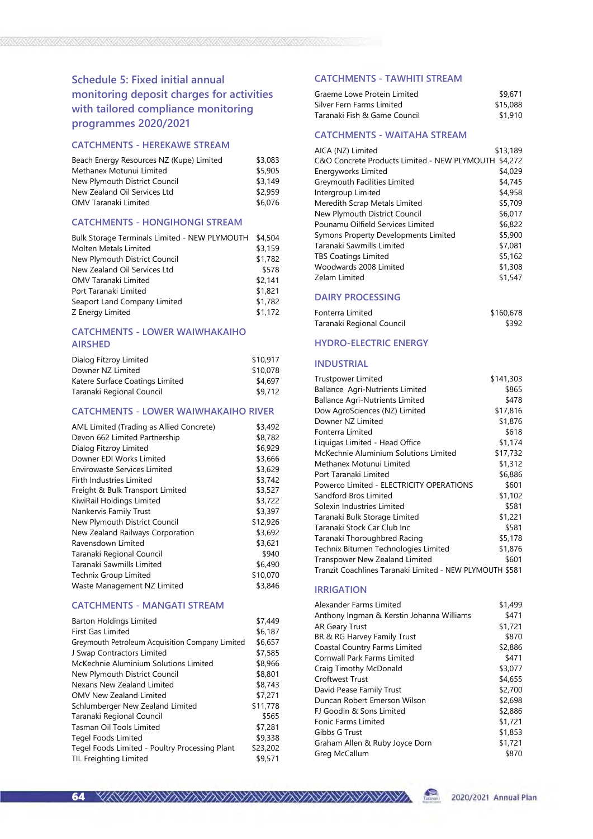### Schedule 5: Fixed initial annual monitoring deposit charges for activities with tailored compliance monitoring programmes 2020/2021

#### CATCHMENTS - HEREKAWE STREAM

| Beach Energy Resources NZ (Kupe) Limited | \$3,083 |
|------------------------------------------|---------|
| Methanex Motunui Limited                 | \$5,905 |
| New Plymouth District Council            | \$3.149 |
| New Zealand Oil Services Ltd             | \$2.959 |
| OMV Taranaki Limited                     | \$6,076 |

#### CATCHMENTS - HONGIHONGI STREAM

| Bulk Storage Terminals Limited - NEW PLYMOUTH | \$4,504 |
|-----------------------------------------------|---------|
| Molten Metals Limited                         | \$3,159 |
| New Plymouth District Council                 | \$1,782 |
| New Zealand Oil Services Ltd                  | \$578   |
| OMV Taranaki Limited                          | \$2,141 |
| Port Taranaki Limited                         | \$1,821 |
| Seaport Land Company Limited                  | \$1,782 |
| Z Energy Limited                              | \$1,172 |

### CATCHMENTS - LOWER WAIWHAKAIHO AIRSHED

| Dialog Fitzroy Limited          | \$10,917 |
|---------------------------------|----------|
| Downer NZ Limited               | \$10,078 |
| Katere Surface Coatings Limited | \$4,697  |
| Taranaki Regional Council       | \$9,712  |

#### CATCHMENTS - LOWER WAIWHAKAIHO RIVER

| AML Limited (Trading as Allied Concrete) | \$3,492  |
|------------------------------------------|----------|
| Devon 662 Limited Partnership            | \$8,782  |
| Dialog Fitzroy Limited                   | \$6,929  |
| Downer EDI Works Limited                 | \$3,666  |
| Envirowaste Services Limited             | \$3,629  |
| Firth Industries Limited                 | \$3,742  |
| Freight & Bulk Transport Limited         | \$3,527  |
| KiwiRail Holdings Limited                | \$3,722  |
| Nankervis Family Trust                   | \$3,397  |
| New Plymouth District Council            | \$12,926 |
| New Zealand Railways Corporation         | \$3,692  |
| Ravensdown Limited                       | \$3,621  |
| Taranaki Regional Council                | \$940    |
| Taranaki Sawmills Limited                | \$6,490  |
| <b>Technix Group Limited</b>             | \$10,070 |
| Waste Management NZ Limited              | \$3,846  |

### CATCHMENTS - MANGATI STREAM

| <b>Barton Holdings Limited</b>                  | \$7,449  |
|-------------------------------------------------|----------|
| <b>First Gas Limited</b>                        | \$6,187  |
| Greymouth Petroleum Acquisition Company Limited | \$6,657  |
| J Swap Contractors Limited                      | \$7,585  |
| McKechnie Aluminium Solutions Limited           | \$8,966  |
| New Plymouth District Council                   | \$8,801  |
| Nexans New Zealand Limited                      | \$8,743  |
| <b>OMV New Zealand Limited</b>                  | \$7,271  |
| Schlumberger New Zealand Limited                | \$11,778 |
| Taranaki Regional Council                       | \$565    |
| Tasman Oil Tools Limited                        | \$7,281  |
| Tegel Foods Limited                             | \$9,338  |
| Tegel Foods Limited - Poultry Processing Plant  | \$23,202 |
| <b>TIL Freighting Limited</b>                   | \$9,571  |
|                                                 |          |

#### CATCHMENTS - TAWHITI STREAM

| Graeme Lowe Protein Limited  | \$9,671  |
|------------------------------|----------|
| Silver Fern Farms Limited    | \$15,088 |
| Taranaki Fish & Game Council | \$1.910  |

| <b>CATCHMENTS - WAITAHA STREAM</b> |  |
|------------------------------------|--|

| AICA (NZ) Limited                            | \$13,189 |
|----------------------------------------------|----------|
| C&O Concrete Products Limited - NEW PLYMOUTH | \$4,272  |
| Energyworks Limited                          | \$4,029  |
| Greymouth Facilities Limited                 | \$4,745  |
| Intergroup Limited                           | \$4,958  |
| Meredith Scrap Metals Limited                | \$5,709  |
| New Plymouth District Council                | \$6,017  |
| Pounamu Oilfield Services Limited            | \$6,822  |
| Symons Property Developments Limited         | \$5,900  |
| Taranaki Sawmills Limited                    | \$7,081  |
| <b>TBS Coatings Limited</b>                  | \$5,162  |
| Woodwards 2008 Limited                       | \$1,308  |
| Zelam Limited                                | \$1,547  |

#### DAIRY PROCESSING

| Fonterra Limited          | \$160,678 |
|---------------------------|-----------|
| Taranaki Regional Council | \$392     |

### HYDRO-ELECTRIC ENERGY

#### INDUSTRIAL

| <b>Trustpower Limited</b>                                | \$141,303 |  |
|----------------------------------------------------------|-----------|--|
| Ballance Agri-Nutrients Limited                          | \$865     |  |
| <b>Ballance Agri-Nutrients Limited</b>                   | \$478     |  |
| Dow AgroSciences (NZ) Limited                            | \$17,816  |  |
| Downer NZ Limited                                        | \$1,876   |  |
| Fonterra Limited                                         | \$618     |  |
| Liquigas Limited - Head Office                           | \$1,174   |  |
| McKechnie Aluminium Solutions Limited                    | \$17,732  |  |
| Methanex Motunui Limited                                 | \$1,312   |  |
| Port Taranaki Limited                                    | \$6,886   |  |
| Powerco Limited - ELECTRICITY OPERATIONS                 | \$601     |  |
| Sandford Bros Limited                                    | \$1,102   |  |
| Solexin Industries Limited                               | \$581     |  |
| Taranaki Bulk Storage Limited                            | \$1,221   |  |
| Taranaki Stock Car Club Inc                              | \$581     |  |
| Taranaki Thoroughbred Racing                             | \$5,178   |  |
| Technix Bitumen Technologies Limited                     | \$1,876   |  |
| Transpower New Zealand Limited                           | \$601     |  |
| Tranzit Coachlines Taranaki Limited - NEW PLYMOUTH \$581 |           |  |

#### IRRIGATION

| Alexander Farms Limited                   | \$1,499 |
|-------------------------------------------|---------|
| Anthony Ingman & Kerstin Johanna Williams | \$471   |
| <b>AR Geary Trust</b>                     | \$1,721 |
| BR & RG Harvey Family Trust               | \$870   |
| Coastal Country Farms Limited             | \$2,886 |
| Cornwall Park Farms Limited               | \$471   |
| Craig Timothy McDonald                    | \$3,077 |
| Croftwest Trust                           | \$4,655 |
| David Pease Family Trust                  | \$2,700 |
| Duncan Robert Emerson Wilson              | \$2,698 |
| FJ Goodin & Sons Limited                  | \$2,886 |
| Fonic Farms Limited                       | \$1,721 |
| Gibbs G Trust                             | \$1,853 |
| Graham Allen & Ruby Joyce Dorn            | \$1,721 |
| Greg McCallum                             | \$870   |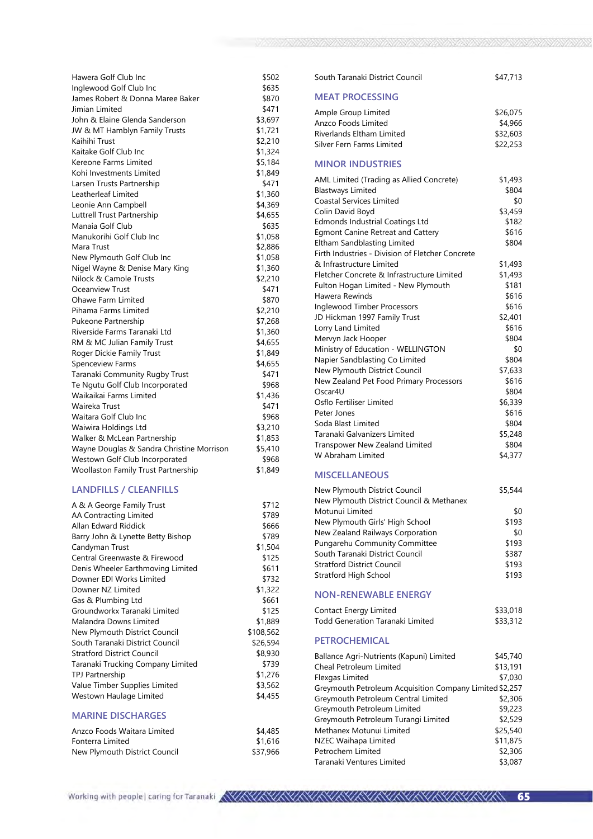| Hawera Golf Club Inc                       | \$502   |
|--------------------------------------------|---------|
| Inglewood Golf Club Inc                    | \$635   |
| James Robert & Donna Maree Baker           | \$870   |
| Jimian Limited                             | \$471   |
| John & Elaine Glenda Sanderson             | \$3,697 |
| JW & MT Hamblyn Family Trusts              | \$1,721 |
| Kaihihi Trust                              | \$2,210 |
| Kaitake Golf Club Inc                      | \$1,324 |
| Kereone Farms Limited                      | \$5,184 |
| Kohi Investments Limited                   | \$1,849 |
| Larsen Trusts Partnership                  | \$471   |
| Leatherleaf Limited                        | \$1,360 |
| Leonie Ann Campbell                        | \$4,369 |
| Luttrell Trust Partnership                 | \$4,655 |
| Manaia Golf Club                           | \$635   |
| Manukorihi Golf Club Inc                   | \$1,058 |
| Mara Trust                                 | \$2,886 |
| New Plymouth Golf Club Inc                 | \$1,058 |
| Nigel Wayne & Denise Mary King             | \$1,360 |
| Nilock & Camole Trusts                     | \$2,210 |
| Oceanview Trust                            | \$471   |
| Ohawe Farm Limited                         | \$870   |
| Pihama Farms Limited                       | \$2,210 |
| Pukeone Partnership                        | \$7,268 |
| Riverside Farms Taranaki Ltd               | \$1,360 |
| RM & MC Julian Family Trust                | \$4,655 |
| Roger Dickie Family Trust                  | \$1,849 |
| <b>Spenceview Farms</b>                    | \$4,655 |
| Taranaki Community Rugby Trust             | \$471   |
| Te Ngutu Golf Club Incorporated            | \$968   |
| Waikaikai Farms Limited                    | \$1,436 |
| Waireka Trust                              | \$471   |
| Waitara Golf Club Inc                      | \$968   |
| Waiwira Holdings Ltd                       | \$3,210 |
| Walker & McLean Partnership                | \$1,853 |
| Wayne Douglas & Sandra Christine Morrison  | \$5,410 |
| Westown Golf Club Incorporated             | \$968   |
| <b>Woollaston Family Trust Partnership</b> | \$1,849 |

### LANDFILLS / CLEANFILLS

| A & A George Family Trust         | \$712      |
|-----------------------------------|------------|
| AA Contracting Limited            | \$789      |
| Allan Edward Riddick              | \$666      |
| Barry John & Lynette Betty Bishop | \$789      |
| Candyman Trust                    | \$1,504    |
| Central Greenwaste & Firewood     | \$125      |
| Denis Wheeler Earthmoving Limited | \$611      |
| Downer EDI Works Limited          | \$732      |
| Downer NZ Limited                 | \$1,322    |
| Gas & Plumbing Ltd                | \$661      |
| Groundworkx Taranaki Limited      | \$125      |
| Malandra Downs Limited            | \$1,889    |
| New Plymouth District Council     | \$108,562  |
| South Taranaki District Council   | \$26,594   |
| <b>Stratford District Council</b> | \$8,930    |
| Taranaki Trucking Company Limited | \$739      |
| <b>TPJ Partnership</b>            | \$1,276    |
| Value Timber Supplies Limited     | \$3,562    |
| Westown Haulage Limited           | \$4,455    |
| <b>MARINE DISCHARGES</b>          |            |
|                                   | $+ 1 10 -$ |

| Anzco Foods Waitara Limited   | \$4,485  |
|-------------------------------|----------|
| Fonterra Limited              | \$1,616  |
| New Plymouth District Council | \$37,966 |

| South Taranaki District Council                                           | \$47,713         |
|---------------------------------------------------------------------------|------------------|
| <b>MEAT PROCESSING</b>                                                    |                  |
| Ample Group Limited                                                       | \$26,075         |
| Anzco Foods Limited                                                       | \$4,966          |
| <b>Riverlands Eltham Limited</b>                                          | \$32,603         |
| Silver Fern Farms Limited                                                 | \$22,253         |
| <b>MINOR INDUSTRIES</b>                                                   |                  |
| AML Limited (Trading as Allied Concrete)                                  | \$1,493          |
| <b>Blastways Limited</b>                                                  | \$804            |
| <b>Coastal Services Limited</b>                                           | \$0              |
| Colin David Boyd                                                          | \$3,459          |
| Edmonds Industrial Coatings Ltd                                           | \$182            |
| <b>Egmont Canine Retreat and Cattery</b>                                  | \$616            |
| Eltham Sandblasting Limited                                               | \$804            |
| Firth Industries - Division of Fletcher Concrete                          |                  |
| & Infrastructure Limited                                                  | \$1,493          |
| Fletcher Concrete & Infrastructure Limited                                | \$1,493          |
| Fulton Hogan Limited - New Plymouth                                       | \$181            |
| Hawera Rewinds                                                            | \$616            |
| Inglewood Timber Processors                                               | \$616            |
| JD Hickman 1997 Family Trust                                              | \$2,401          |
| Lorry Land Limited                                                        | \$616            |
| Mervyn Jack Hooper                                                        | \$804            |
| Ministry of Education - WELLINGTON                                        | \$0              |
| Napier Sandblasting Co Limited                                            | \$804            |
| New Plymouth District Council                                             | \$7,633          |
| New Zealand Pet Food Primary Processors                                   | \$616            |
| Oscar4U                                                                   | \$804            |
| Osflo Fertiliser Limited<br>Peter Jones                                   | \$6,339<br>\$616 |
| Soda Blast Limited                                                        | \$804            |
| Taranaki Galvanizers Limited                                              | \$5,248          |
| <b>Transpower New Zealand Limited</b>                                     | \$804            |
| W Abraham Limited                                                         | \$4,377          |
| <b>MISCELLANEOUS</b>                                                      |                  |
|                                                                           | \$5,544          |
| New Plymouth District Council<br>New Plymouth District Council & Methanex |                  |
| Motunui Limited                                                           | \$0              |
| New Plymouth Girls' High School                                           | \$193            |
| New Zealand Railways Corporation                                          | \$0              |
| Pungarehu Community Committee                                             | \$193            |
| South Taranaki District Council                                           | \$387            |
| <b>Stratford District Council</b>                                         | \$193            |
| Stratford High School                                                     | \$193            |
|                                                                           |                  |
| <b>NON-RENEWABLE ENERGY</b>                                               |                  |

| Contact Energy Limited           | \$33,018 |
|----------------------------------|----------|
| Todd Generation Taranaki Limited | \$33,312 |
| <b>PETROCHEMICAL</b>             |          |

| Ballance Agri-Nutrients (Kapuni) Limited                | \$45,740 |
|---------------------------------------------------------|----------|
| Cheal Petroleum Limited                                 | \$13,191 |
| Flexgas Limited                                         | \$7,030  |
| Greymouth Petroleum Acquisition Company Limited \$2,257 |          |
| Greymouth Petroleum Central Limited                     | \$2,306  |
| Greymouth Petroleum Limited                             | \$9,223  |
| Greymouth Petroleum Turangi Limited                     | \$2,529  |
| Methanex Motunui Limited                                | \$25,540 |
| NZEC Waihapa Limited                                    | \$11,875 |
| Petrochem Limited                                       | \$2,306  |
| Taranaki Ventures Limited                               | \$3,087  |
|                                                         |          |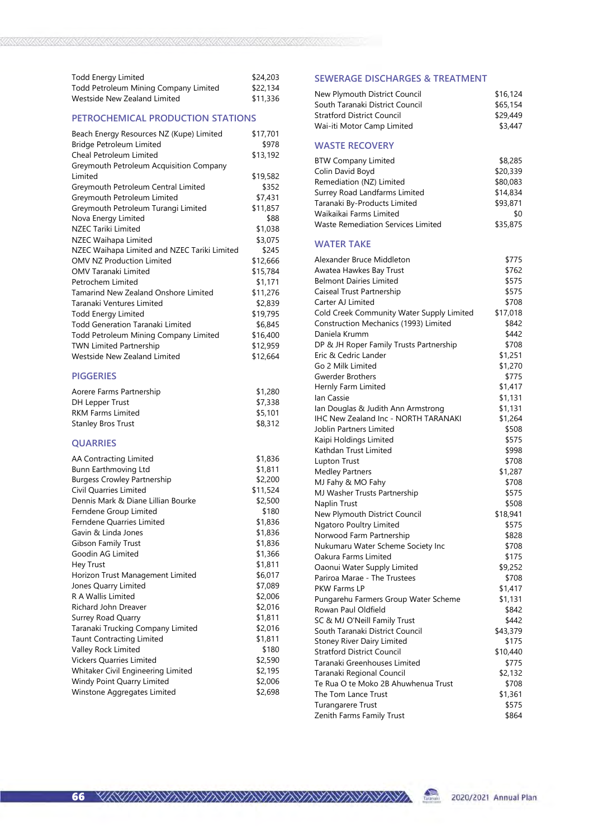| Todd Energy Limited                   | \$24,203 |
|---------------------------------------|----------|
| Todd Petroleum Mining Company Limited | \$22,134 |
| Westside New Zealand Limited          | \$11,336 |

#### PETROCHEMICAL PRODUCTION STATIONS

| Beach Energy Resources NZ (Kupe) Limited     | \$17,701 |
|----------------------------------------------|----------|
| <b>Bridge Petroleum Limited</b>              | \$978    |
| Cheal Petroleum Limited                      | \$13,192 |
| Greymouth Petroleum Acquisition Company      |          |
| Limited                                      | \$19,582 |
| Greymouth Petroleum Central Limited          | \$352    |
| Greymouth Petroleum Limited                  | \$7,431  |
| Greymouth Petroleum Turangi Limited          | \$11,857 |
| Nova Energy Limited                          | \$88     |
| <b>NZEC Tariki Limited</b>                   | \$1,038  |
| NZEC Waihapa Limited                         | \$3,075  |
| NZEC Waihapa Limited and NZEC Tariki Limited | \$245    |
| <b>OMV NZ Production Limited</b>             | \$12,666 |
| OMV Taranaki Limited                         | \$15,784 |
| Petrochem Limited                            | \$1,171  |
| <b>Tamarind New Zealand Onshore Limited</b>  | \$11,276 |
| Taranaki Ventures Limited                    | \$2,839  |
| <b>Todd Energy Limited</b>                   | \$19,795 |
| <b>Todd Generation Taranaki Limited</b>      | \$6,845  |
| Todd Petroleum Mining Company Limited        | \$16,400 |
| <b>TWN Limited Partnership</b>               | \$12,959 |
| Westside New Zealand Limited                 | \$12,664 |
| <b>PIGGERIES</b>                             |          |

| Aorere Farms Partnership  | \$1,280 |  |
|---------------------------|---------|--|
| DH Lepper Trust           | \$7,338 |  |
| <b>RKM Farms Limited</b>  | \$5,101 |  |
| <b>Stanley Bros Trust</b> | \$8,312 |  |

### QUARRIES

| AA Contracting Limited             | \$1,836  |
|------------------------------------|----------|
| Bunn Earthmoving Ltd               | \$1,811  |
| <b>Burgess Crowley Partnership</b> | \$2,200  |
| Civil Quarries Limited             | \$11,524 |
| Dennis Mark & Diane Lillian Bourke | \$2,500  |
| Ferndene Group Limited             | \$180    |
| Ferndene Quarries Limited          | \$1,836  |
| Gavin & Linda Jones                | \$1,836  |
| <b>Gibson Family Trust</b>         | \$1,836  |
| Goodin AG Limited                  | \$1,366  |
| <b>Hey Trust</b>                   | \$1,811  |
| Horizon Trust Management Limited   | \$6,017  |
| Jones Quarry Limited               | \$7,089  |
| <b>R A Wallis Limited</b>          | \$2,006  |
| Richard John Dreaver               | \$2,016  |
| <b>Surrey Road Quarry</b>          | \$1,811  |
| Taranaki Trucking Company Limited  | \$2,016  |
| <b>Taunt Contracting Limited</b>   | \$1,811  |
| Valley Rock Limited                | \$180    |
| <b>Vickers Quarries Limited</b>    | \$2,590  |
| Whitaker Civil Engineering Limited | \$2,195  |
| Windy Point Quarry Limited         | \$2,006  |
| Winstone Aggregates Limited        | \$2,698  |

#### SEWERAGE DISCHARGES & TREATMENT

| New Plymouth District Council                                     | \$16,124         |
|-------------------------------------------------------------------|------------------|
| South Taranaki District Council                                   | \$65,154         |
| <b>Stratford District Council</b>                                 | \$29,449         |
| Wai-iti Motor Camp Limited                                        | \$3,447          |
| <b>WASTE RECOVERY</b>                                             |                  |
| <b>BTW Company Limited</b>                                        | \$8,285          |
| Colin David Boyd                                                  | \$20,339         |
| Remediation (NZ) Limited                                          | \$80,083         |
| Surrey Road Landfarms Limited                                     | \$14,834         |
| Taranaki By-Products Limited                                      | \$93,871         |
| Waikaikai Farms Limited                                           | \$0              |
| <b>Waste Remediation Services Limited</b>                         | \$35,875         |
| <b>WATER TAKE</b>                                                 |                  |
| Alexander Bruce Middleton                                         | \$775            |
| Awatea Hawkes Bay Trust                                           | \$762            |
| <b>Belmont Dairies Limited</b>                                    | \$575            |
| Caiseal Trust Partnership                                         | \$575            |
| Carter AJ Limited                                                 | \$708            |
| Cold Creek Community Water Supply Limited                         | \$17,018         |
| Construction Mechanics (1993) Limited                             | \$842            |
| Daniela Krumm                                                     | \$442            |
| DP & JH Roper Family Trusts Partnership                           | \$708            |
| Eric & Cedric Lander                                              | \$1,251          |
| Go 2 Milk Limited                                                 | \$1,270          |
| <b>Gwerder Brothers</b>                                           | \$775            |
| Hernly Farm Limited                                               | \$1,417          |
| lan Cassie                                                        | \$1,131          |
| Ian Douglas & Judith Ann Armstrong                                | \$1,131          |
| <b>IHC New Zealand Inc - NORTH TARANAKI</b>                       | \$1,264          |
| Joblin Partners Limited                                           | \$508            |
| Kaipi Holdings Limited                                            | \$575            |
| Kathdan Trust Limited                                             | \$998            |
| <b>Lupton Trust</b>                                               | \$708            |
| <b>Medley Partners</b>                                            | \$1,287          |
| MJ Fahy & MO Fahy                                                 | \$708            |
| MJ Washer Trusts Partnership                                      | \$575            |
| Naplin Trust                                                      | \$508            |
| New Plymouth District Council                                     | \$18,941         |
| Ngatoro Poultry Limited                                           | \$575            |
| Norwood Farm Partnership                                          | \$828            |
| Nukumaru Water Scheme Society Inc                                 | \$708            |
| Oakura Farms Limited                                              | \$175            |
| Oaonui Water Supply Limited                                       | \$9,252          |
| Pariroa Marae - The Trustees                                      | \$708            |
| PKW Farms LP                                                      | \$1,417          |
| Pungarehu Farmers Group Water Scheme                              | \$1,131          |
| Rowan Paul Oldfield                                               | \$842            |
| SC & MJ O'Neill Family Trust                                      | \$442            |
| South Taranaki District Council                                   | \$43,379         |
| <b>Stoney River Dairy Limited</b>                                 | \$175            |
| <b>Stratford District Council</b><br>Taranaki Greenhouses Limited | \$10,440         |
| Taranaki Regional Council                                         | \$775<br>\$2,132 |
| Te Rua O te Moko 2B Ahuwhenua Trust                               | \$708            |
| The Tom Lance Trust                                               | \$1,361          |
| <b>Turangarere Trust</b>                                          | \$575            |
| Zenith Farms Family Trust                                         | \$864            |

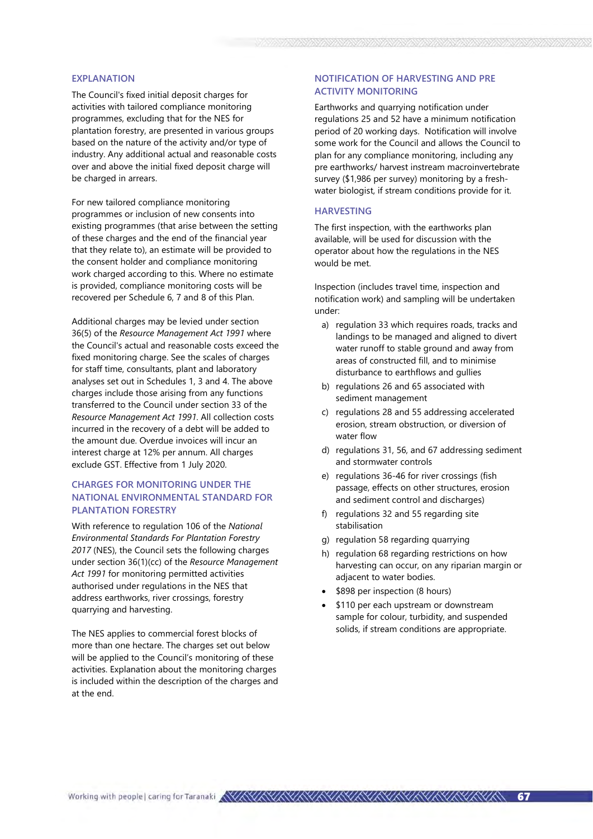#### EXPLANATION

The Council's fixed initial deposit charges for activities with tailored compliance monitoring programmes, excluding that for the NES for plantation forestry, are presented in various groups based on the nature of the activity and/or type of industry. Any additional actual and reasonable costs over and above the initial fixed deposit charge will be charged in arrears.

For new tailored compliance monitoring programmes or inclusion of new consents into existing programmes (that arise between the setting of these charges and the end of the financial year that they relate to), an estimate will be provided to the consent holder and compliance monitoring work charged according to this. Where no estimate is provided, compliance monitoring costs will be recovered per Schedule 6, 7 and 8 of this Plan.

Additional charges may be levied under section 36(5) of the Resource Management Act 1991 where the Council's actual and reasonable costs exceed the fixed monitoring charge. See the scales of charges for staff time, consultants, plant and laboratory analyses set out in Schedules 1, 3 and 4. The above charges include those arising from any functions transferred to the Council under section 33 of the Resource Management Act 1991. All collection costs incurred in the recovery of a debt will be added to the amount due. Overdue invoices will incur an interest charge at 12% per annum. All charges exclude GST. Effective from 1 July 2020.

### CHARGES FOR MONITORING UNDER THE NATIONAL ENVIRONMENTAL STANDARD FOR PLANTATION FORESTRY

With reference to regulation 106 of the National Environmental Standards For Plantation Forestry 2017 (NES), the Council sets the following charges under section 36(1)(cc) of the Resource Management Act 1991 for monitoring permitted activities authorised under regulations in the NES that address earthworks, river crossings, forestry quarrying and harvesting.

The NES applies to commercial forest blocks of more than one hectare. The charges set out below will be applied to the Council's monitoring of these activities. Explanation about the monitoring charges is included within the description of the charges and at the end.

### NOTIFICATION OF HARVESTING AND PRE ACTIVITY MONITORING

Earthworks and quarrying notification under regulations 25 and 52 have a minimum notification period of 20 working days. Notification will involve some work for the Council and allows the Council to plan for any compliance monitoring, including any pre earthworks/ harvest instream macroinvertebrate survey (\$1,986 per survey) monitoring by a freshwater biologist, if stream conditions provide for it.

#### **HARVESTING**

The first inspection, with the earthworks plan available, will be used for discussion with the operator about how the regulations in the NES would be met.

Inspection (includes travel time, inspection and notification work) and sampling will be undertaken under:

- a) regulation 33 which requires roads, tracks and landings to be managed and aligned to divert water runoff to stable ground and away from areas of constructed fill, and to minimise disturbance to earthflows and gullies
- b) regulations 26 and 65 associated with sediment management
- c) regulations 28 and 55 addressing accelerated erosion, stream obstruction, or diversion of water flow
- d) regulations 31, 56, and 67 addressing sediment and stormwater controls
- e) regulations 36-46 for river crossings (fish passage, effects on other structures, erosion and sediment control and discharges)
- f) regulations 32 and 55 regarding site stabilisation
- g) regulation 58 regarding quarrying
- h) regulation 68 regarding restrictions on how harvesting can occur, on any riparian margin or adjacent to water bodies.
- \$898 per inspection (8 hours)
- \$110 per each upstream or downstream sample for colour, turbidity, and suspended solids, if stream conditions are appropriate.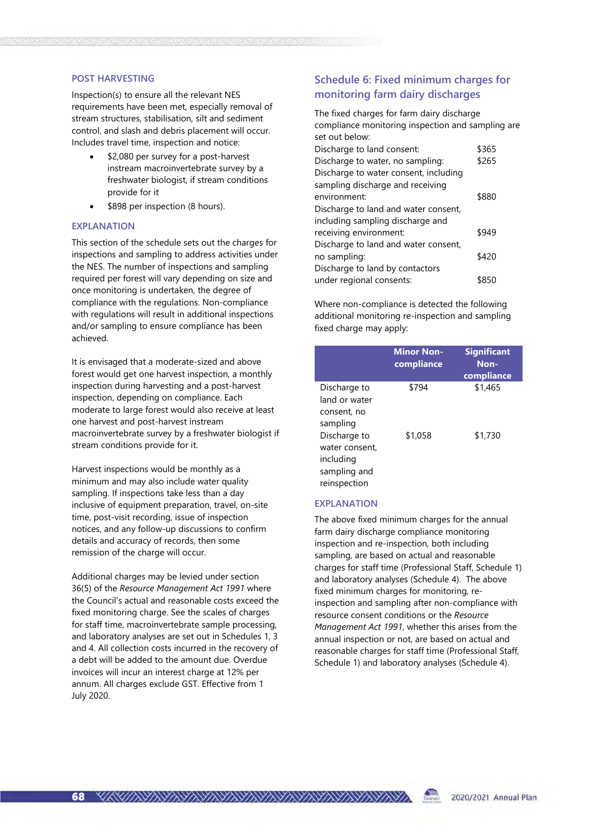#### POST HARVESTING

Inspection(s) to ensure all the relevant NES requirements have been met, especially removal of stream structures, stabilisation, silt and sediment control, and slash and debris placement will occur. Includes travel time, inspection and notice:

- \$2,080 per survey for a post-harvest instream macroinvertebrate survey by a freshwater biologist, if stream conditions provide for it
- \$898 per inspection (8 hours).

#### EXPLANATION

This section of the schedule sets out the charges for inspections and sampling to address activities under the NES. The number of inspections and sampling required per forest will vary depending on size and once monitoring is undertaken, the degree of compliance with the regulations. Non-compliance with regulations will result in additional inspections and/or sampling to ensure compliance has been achieved.

It is envisaged that a moderate-sized and above forest would get one harvest inspection, a monthly inspection during harvesting and a post-harvest inspection, depending on compliance. Each moderate to large forest would also receive at least one harvest and post-harvest instream macroinvertebrate survey by a freshwater biologist if stream conditions provide for it.

Harvest inspections would be monthly as a minimum and may also include water quality sampling. If inspections take less than a day inclusive of equipment preparation, travel, on-site time, post-visit recording, issue of inspection notices, and any follow-up discussions to confirm details and accuracy of records, then some remission of the charge will occur.

Additional charges may be levied under section 36(5) of the Resource Management Act 1991 where the Council's actual and reasonable costs exceed the fixed monitoring charge. See the scales of charges for staff time, macroinvertebrate sample processing, and laboratory analyses are set out in Schedules 1, 3 and 4. All collection costs incurred in the recovery of a debt will be added to the amount due. Overdue invoices will incur an interest charge at 12% per annum. All charges exclude GST. Effective from 1 July 2020.

### Schedule 6: Fixed minimum charges for monitoring farm dairy discharges

The fixed charges for farm dairy discharge compliance monitoring inspection and sampling are set out below: Discharge to land consent: \$365

| Discriarge to land consent.           | כסכּב |
|---------------------------------------|-------|
| Discharge to water, no sampling:      | \$265 |
| Discharge to water consent, including |       |
| sampling discharge and receiving      |       |
| environment:                          | \$880 |
| Discharge to land and water consent,  |       |
| including sampling discharge and      |       |
| receiving environment:                | \$949 |
| Discharge to land and water consent,  |       |
| no sampling:                          | \$420 |
| Discharge to land by contactors       |       |
| under regional consents:              | \$850 |

Where non-compliance is detected the following additional monitoring re-inspection and sampling fixed charge may apply:

|                                                                             | <b>Minor Non-</b><br>compliance | <b>Significant</b><br>Non-<br>compliance |
|-----------------------------------------------------------------------------|---------------------------------|------------------------------------------|
| Discharge to<br>land or water<br>consent, no<br>sampling                    | \$794                           | \$1,465                                  |
| Discharge to<br>water consent.<br>including<br>sampling and<br>reinspection | \$1,058                         | \$1,730                                  |

#### EXPLANATION

The above fixed minimum charges for the annual farm dairy discharge compliance monitoring inspection and re-inspection, both including sampling, are based on actual and reasonable charges for staff time (Professional Staff, Schedule 1) and laboratory analyses (Schedule 4). The above fixed minimum charges for monitoring, reinspection and sampling after non-compliance with resource consent conditions or the Resource Management Act 1991, whether this arises from the annual inspection or not, are based on actual and reasonable charges for staff time (Professional Staff, Schedule 1) and laboratory analyses (Schedule 4).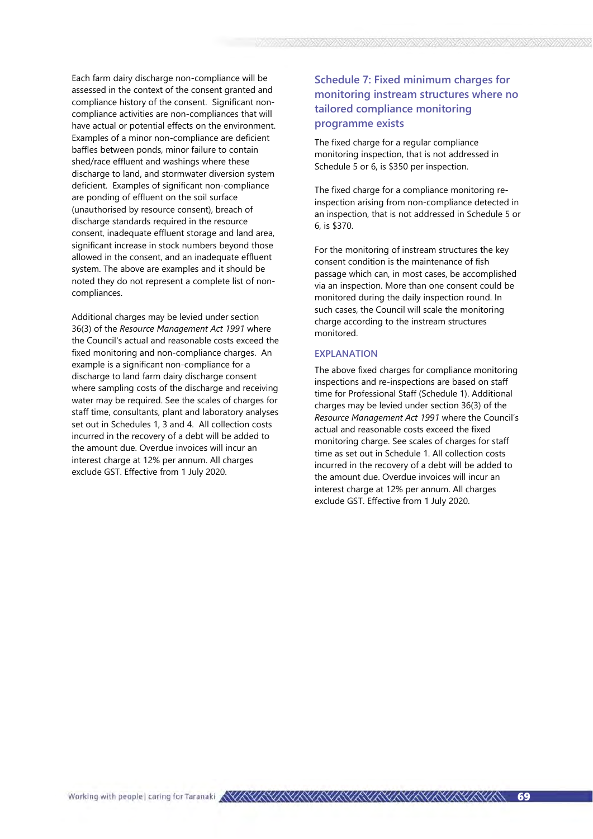Each farm dairy discharge non-compliance will be assessed in the context of the consent granted and compliance history of the consent. Significant noncompliance activities are non-compliances that will have actual or potential effects on the environment. Examples of a minor non-compliance are deficient baffles between ponds, minor failure to contain shed/race effluent and washings where these discharge to land, and stormwater diversion system deficient. Examples of significant non-compliance are ponding of effluent on the soil surface (unauthorised by resource consent), breach of discharge standards required in the resource consent, inadequate effluent storage and land area, significant increase in stock numbers beyond those allowed in the consent, and an inadequate effluent system. The above are examples and it should be noted they do not represent a complete list of noncompliances.

Additional charges may be levied under section 36(3) of the Resource Management Act 1991 where the Council's actual and reasonable costs exceed the fixed monitoring and non-compliance charges. An example is a significant non-compliance for a discharge to land farm dairy discharge consent where sampling costs of the discharge and receiving water may be required. See the scales of charges for staff time, consultants, plant and laboratory analyses set out in Schedules 1, 3 and 4. All collection costs incurred in the recovery of a debt will be added to the amount due. Overdue invoices will incur an interest charge at 12% per annum. All charges exclude GST. Effective from 1 July 2020.

### Schedule 7: Fixed minimum charges for monitoring instream structures where no tailored compliance monitoring programme exists

The fixed charge for a regular compliance monitoring inspection, that is not addressed in Schedule 5 or 6, is \$350 per inspection.

The fixed charge for a compliance monitoring reinspection arising from non-compliance detected in an inspection, that is not addressed in Schedule 5 or 6, is \$370.

For the monitoring of instream structures the key consent condition is the maintenance of fish passage which can, in most cases, be accomplished via an inspection. More than one consent could be monitored during the daily inspection round. In such cases, the Council will scale the monitoring charge according to the instream structures monitored.

### EXPLANATION

The above fixed charges for compliance monitoring inspections and re-inspections are based on staff time for Professional Staff (Schedule 1). Additional charges may be levied under section 36(3) of the Resource Management Act 1991 where the Council's actual and reasonable costs exceed the fixed monitoring charge. See scales of charges for staff time as set out in Schedule 1. All collection costs incurred in the recovery of a debt will be added to the amount due. Overdue invoices will incur an interest charge at 12% per annum. All charges exclude GST. Effective from 1 July 2020.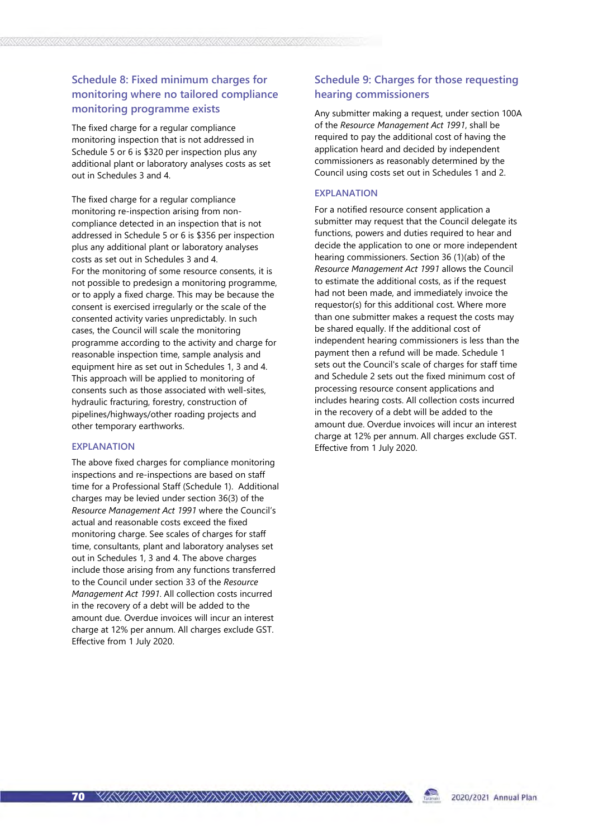### Schedule 8: Fixed minimum charges for monitoring where no tailored compliance monitoring programme exists

The fixed charge for a regular compliance monitoring inspection that is not addressed in Schedule 5 or 6 is \$320 per inspection plus any additional plant or laboratory analyses costs as set out in Schedules 3 and 4.

The fixed charge for a regular compliance monitoring re-inspection arising from noncompliance detected in an inspection that is not addressed in Schedule 5 or 6 is \$356 per inspection plus any additional plant or laboratory analyses costs as set out in Schedules 3 and 4. For the monitoring of some resource consents, it is not possible to predesign a monitoring programme, or to apply a fixed charge. This may be because the consent is exercised irregularly or the scale of the consented activity varies unpredictably. In such cases, the Council will scale the monitoring programme according to the activity and charge for reasonable inspection time, sample analysis and equipment hire as set out in Schedules 1, 3 and 4. This approach will be applied to monitoring of consents such as those associated with well-sites, hydraulic fracturing, forestry, construction of pipelines/highways/other roading projects and other temporary earthworks.

#### EXPLANATION

The above fixed charges for compliance monitoring inspections and re-inspections are based on staff time for a Professional Staff (Schedule 1). Additional charges may be levied under section 36(3) of the Resource Management Act 1991 where the Council's actual and reasonable costs exceed the fixed monitoring charge. See scales of charges for staff time, consultants, plant and laboratory analyses set out in Schedules 1, 3 and 4. The above charges include those arising from any functions transferred to the Council under section 33 of the Resource Management Act 1991. All collection costs incurred in the recovery of a debt will be added to the amount due. Overdue invoices will incur an interest charge at 12% per annum. All charges exclude GST. Effective from 1 July 2020.

### Schedule 9: Charges for those requesting hearing commissioners

Any submitter making a request, under section 100A of the Resource Management Act 1991, shall be required to pay the additional cost of having the application heard and decided by independent commissioners as reasonably determined by the Council using costs set out in Schedules 1 and 2.

#### EXPLANATION

For a notified resource consent application a submitter may request that the Council delegate its functions, powers and duties required to hear and decide the application to one or more independent hearing commissioners. Section 36 (1)(ab) of the Resource Management Act 1991 allows the Council to estimate the additional costs, as if the request had not been made, and immediately invoice the requestor(s) for this additional cost. Where more than one submitter makes a request the costs may be shared equally. If the additional cost of independent hearing commissioners is less than the payment then a refund will be made. Schedule 1 sets out the Council's scale of charges for staff time and Schedule 2 sets out the fixed minimum cost of processing resource consent applications and includes hearing costs. All collection costs incurred in the recovery of a debt will be added to the amount due. Overdue invoices will incur an interest charge at 12% per annum. All charges exclude GST. Effective from 1 July 2020.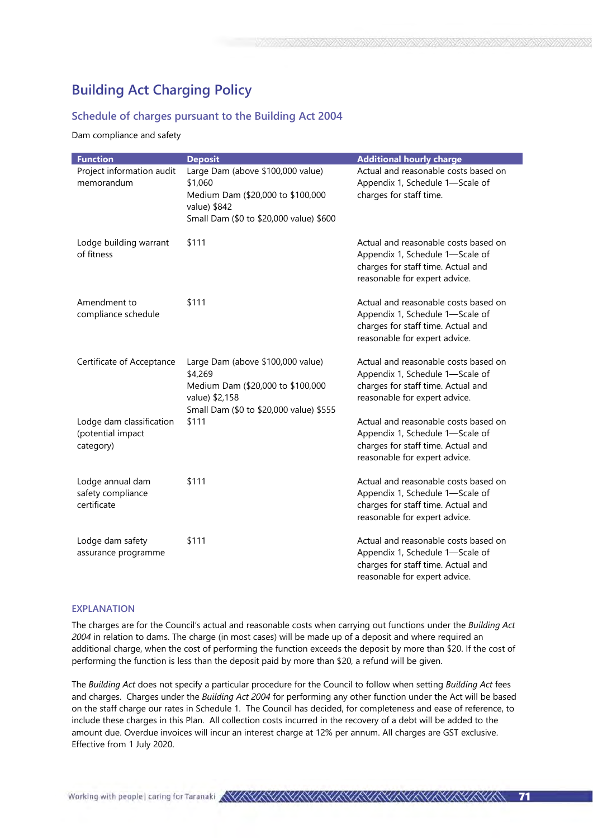# Building Act Charging Policy

### Schedule of charges pursuant to the Building Act 2004

Dam compliance and safety

| <b>Function</b>                                            | <b>Deposit</b>                                                                                                                                 | <b>Additional hourly charge</b>                                                                                                                |
|------------------------------------------------------------|------------------------------------------------------------------------------------------------------------------------------------------------|------------------------------------------------------------------------------------------------------------------------------------------------|
| Project information audit<br>memorandum                    | Large Dam (above \$100,000 value)<br>\$1,060<br>Medium Dam (\$20,000 to \$100,000<br>value) \$842<br>Small Dam (\$0 to \$20,000 value) \$600   | Actual and reasonable costs based on<br>Appendix 1, Schedule 1-Scale of<br>charges for staff time.                                             |
| Lodge building warrant<br>of fitness                       | \$111                                                                                                                                          | Actual and reasonable costs based on<br>Appendix 1, Schedule 1-Scale of<br>charges for staff time. Actual and<br>reasonable for expert advice. |
| Amendment to<br>compliance schedule                        | \$111                                                                                                                                          | Actual and reasonable costs based on<br>Appendix 1, Schedule 1-Scale of<br>charges for staff time. Actual and<br>reasonable for expert advice. |
| Certificate of Acceptance                                  | Large Dam (above \$100,000 value)<br>\$4,269<br>Medium Dam (\$20,000 to \$100,000<br>value) \$2,158<br>Small Dam (\$0 to \$20,000 value) \$555 | Actual and reasonable costs based on<br>Appendix 1, Schedule 1-Scale of<br>charges for staff time. Actual and<br>reasonable for expert advice. |
| Lodge dam classification<br>(potential impact<br>category) | \$111                                                                                                                                          | Actual and reasonable costs based on<br>Appendix 1, Schedule 1-Scale of<br>charges for staff time. Actual and<br>reasonable for expert advice. |
| Lodge annual dam<br>safety compliance<br>certificate       | \$111                                                                                                                                          | Actual and reasonable costs based on<br>Appendix 1, Schedule 1-Scale of<br>charges for staff time. Actual and<br>reasonable for expert advice. |
| Lodge dam safety<br>assurance programme                    | \$111                                                                                                                                          | Actual and reasonable costs based on<br>Appendix 1, Schedule 1-Scale of<br>charges for staff time. Actual and<br>reasonable for expert advice. |

#### EXPLANATION

The charges are for the Council's actual and reasonable costs when carrying out functions under the Building Act 2004 in relation to dams. The charge (in most cases) will be made up of a deposit and where required an additional charge, when the cost of performing the function exceeds the deposit by more than \$20. If the cost of performing the function is less than the deposit paid by more than \$20, a refund will be given.

The Building Act does not specify a particular procedure for the Council to follow when setting Building Act fees and charges. Charges under the Building Act 2004 for performing any other function under the Act will be based on the staff charge our rates in Schedule 1. The Council has decided, for completeness and ease of reference, to include these charges in this Plan. All collection costs incurred in the recovery of a debt will be added to the amount due. Overdue invoices will incur an interest charge at 12% per annum. All charges are GST exclusive. Effective from 1 July 2020.

71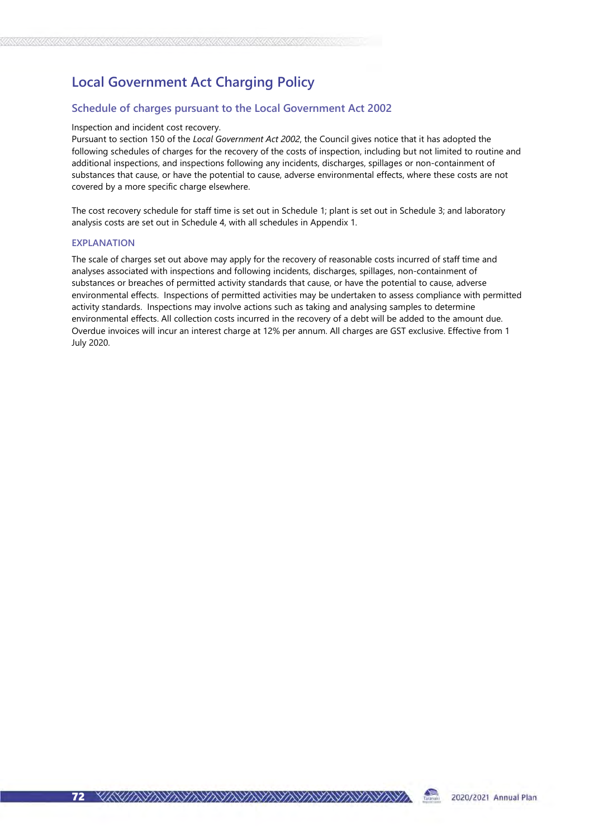# Local Government Act Charging Policy

### Schedule of charges pursuant to the Local Government Act 2002

#### Inspection and incident cost recovery.

Pursuant to section 150 of the Local Government Act 2002, the Council gives notice that it has adopted the following schedules of charges for the recovery of the costs of inspection, including but not limited to routine and additional inspections, and inspections following any incidents, discharges, spillages or non-containment of substances that cause, or have the potential to cause, adverse environmental effects, where these costs are not covered by a more specific charge elsewhere.

The cost recovery schedule for staff time is set out in Schedule 1; plant is set out in Schedule 3; and laboratory analysis costs are set out in Schedule 4, with all schedules in Appendix 1.

#### EXPLANATION

The scale of charges set out above may apply for the recovery of reasonable costs incurred of staff time and analyses associated with inspections and following incidents, discharges, spillages, non-containment of substances or breaches of permitted activity standards that cause, or have the potential to cause, adverse environmental effects. Inspections of permitted activities may be undertaken to assess compliance with permitted activity standards. Inspections may involve actions such as taking and analysing samples to determine environmental effects. All collection costs incurred in the recovery of a debt will be added to the amount due. Overdue invoices will incur an interest charge at 12% per annum. All charges are GST exclusive. Effective from 1 July 2020.